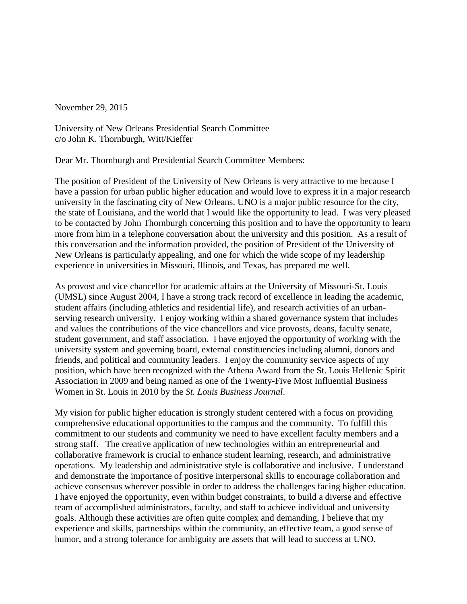November 29, 2015

University of New Orleans Presidential Search Committee c/o John K. Thornburgh, Witt/Kieffer

Dear Mr. Thornburgh and Presidential Search Committee Members:

The position of President of the University of New Orleans is very attractive to me because I have a passion for urban public higher education and would love to express it in a major research university in the fascinating city of New Orleans. UNO is a major public resource for the city, the state of Louisiana, and the world that I would like the opportunity to lead. I was very pleased to be contacted by John Thornburgh concerning this position and to have the opportunity to learn more from him in a telephone conversation about the university and this position. As a result of this conversation and the information provided, the position of President of the University of New Orleans is particularly appealing, and one for which the wide scope of my leadership experience in universities in Missouri, Illinois, and Texas, has prepared me well.

As provost and vice chancellor for academic affairs at the University of Missouri-St. Louis (UMSL) since August 2004, I have a strong track record of excellence in leading the academic, student affairs (including athletics and residential life), and research activities of an urbanserving research university. I enjoy working within a shared governance system that includes and values the contributions of the vice chancellors and vice provosts, deans, faculty senate, student government, and staff association. I have enjoyed the opportunity of working with the university system and governing board, external constituencies including alumni, donors and friends, and political and community leaders. I enjoy the community service aspects of my position, which have been recognized with the Athena Award from the St. Louis Hellenic Spirit Association in 2009 and being named as one of the Twenty-Five Most Influential Business Women in St. Louis in 2010 by the *St. Louis Business Journal*.

My vision for public higher education is strongly student centered with a focus on providing comprehensive educational opportunities to the campus and the community. To fulfill this commitment to our students and community we need to have excellent faculty members and a strong staff. The creative application of new technologies within an entrepreneurial and collaborative framework is crucial to enhance student learning, research, and administrative operations. My leadership and administrative style is collaborative and inclusive. I understand and demonstrate the importance of positive interpersonal skills to encourage collaboration and achieve consensus wherever possible in order to address the challenges facing higher education. I have enjoyed the opportunity, even within budget constraints, to build a diverse and effective team of accomplished administrators, faculty, and staff to achieve individual and university goals. Although these activities are often quite complex and demanding, I believe that my experience and skills, partnerships within the community, an effective team, a good sense of humor, and a strong tolerance for ambiguity are assets that will lead to success at UNO.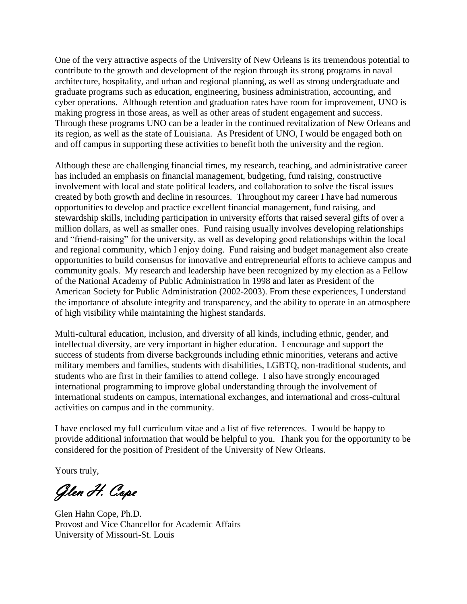One of the very attractive aspects of the University of New Orleans is its tremendous potential to contribute to the growth and development of the region through its strong programs in naval architecture, hospitality, and urban and regional planning, as well as strong undergraduate and graduate programs such as education, engineering, business administration, accounting, and cyber operations. Although retention and graduation rates have room for improvement, UNO is making progress in those areas, as well as other areas of student engagement and success. Through these programs UNO can be a leader in the continued revitalization of New Orleans and its region, as well as the state of Louisiana. As President of UNO, I would be engaged both on and off campus in supporting these activities to benefit both the university and the region.

Although these are challenging financial times, my research, teaching, and administrative career has included an emphasis on financial management, budgeting, fund raising, constructive involvement with local and state political leaders, and collaboration to solve the fiscal issues created by both growth and decline in resources. Throughout my career I have had numerous opportunities to develop and practice excellent financial management, fund raising, and stewardship skills, including participation in university efforts that raised several gifts of over a million dollars, as well as smaller ones. Fund raising usually involves developing relationships and "friend-raising" for the university, as well as developing good relationships within the local and regional community, which I enjoy doing. Fund raising and budget management also create opportunities to build consensus for innovative and entrepreneurial efforts to achieve campus and community goals. My research and leadership have been recognized by my election as a Fellow of the National Academy of Public Administration in 1998 and later as President of the American Society for Public Administration (2002-2003). From these experiences, I understand the importance of absolute integrity and transparency, and the ability to operate in an atmosphere of high visibility while maintaining the highest standards.

Multi-cultural education, inclusion, and diversity of all kinds, including ethnic, gender, and intellectual diversity, are very important in higher education. I encourage and support the success of students from diverse backgrounds including ethnic minorities, veterans and active military members and families, students with disabilities, LGBTQ, non-traditional students, and students who are first in their families to attend college. I also have strongly encouraged international programming to improve global understanding through the involvement of international students on campus, international exchanges, and international and cross-cultural activities on campus and in the community.

I have enclosed my full curriculum vitae and a list of five references. I would be happy to provide additional information that would be helpful to you. Thank you for the opportunity to be considered for the position of President of the University of New Orleans.

Yours truly,

Glen H. Cope

Glen Hahn Cope, Ph.D. Provost and Vice Chancellor for Academic Affairs University of Missouri-St. Louis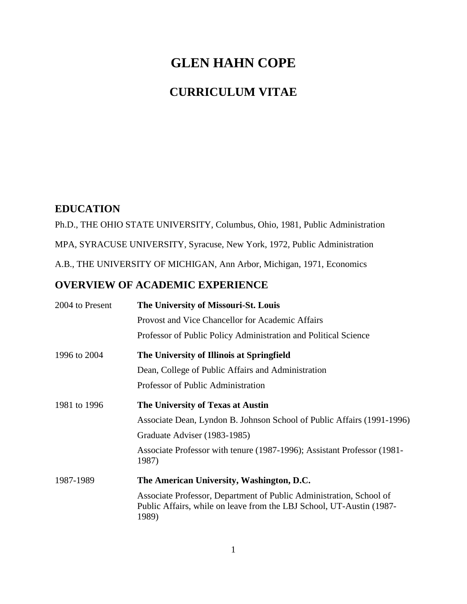# **GLEN HAHN COPE**

# **CURRICULUM VITAE**

# **EDUCATION**

Ph.D., THE OHIO STATE UNIVERSITY, Columbus, Ohio, 1981, Public Administration

MPA, SYRACUSE UNIVERSITY, Syracuse, New York, 1972, Public Administration

A.B., THE UNIVERSITY OF MICHIGAN, Ann Arbor, Michigan, 1971, Economics

## **OVERVIEW OF ACADEMIC EXPERIENCE**

| 2004 to Present | The University of Missouri-St. Louis                                                                                                                 |
|-----------------|------------------------------------------------------------------------------------------------------------------------------------------------------|
|                 | Provost and Vice Chancellor for Academic Affairs                                                                                                     |
|                 | Professor of Public Policy Administration and Political Science                                                                                      |
| 1996 to 2004    | The University of Illinois at Springfield                                                                                                            |
|                 | Dean, College of Public Affairs and Administration                                                                                                   |
|                 | Professor of Public Administration                                                                                                                   |
| 1981 to 1996    | The University of Texas at Austin                                                                                                                    |
|                 | Associate Dean, Lyndon B. Johnson School of Public Affairs (1991-1996)                                                                               |
|                 | Graduate Adviser (1983-1985)                                                                                                                         |
|                 | Associate Professor with tenure (1987-1996); Assistant Professor (1981-<br>1987)                                                                     |
| 1987-1989       | The American University, Washington, D.C.                                                                                                            |
|                 | Associate Professor, Department of Public Administration, School of<br>Public Affairs, while on leave from the LBJ School, UT-Austin (1987-<br>1989) |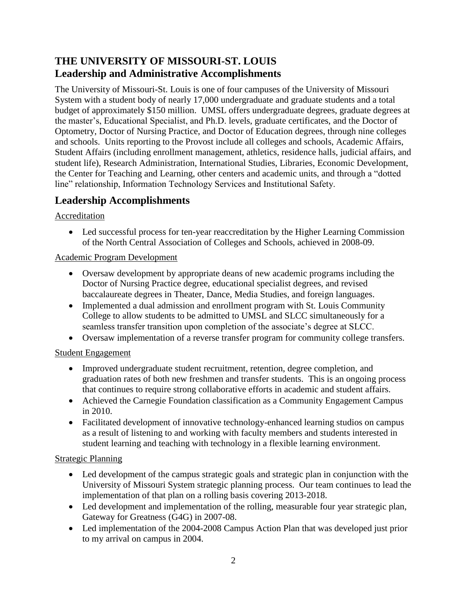# **THE UNIVERSITY OF MISSOURI-ST. LOUIS Leadership and Administrative Accomplishments**

The University of Missouri-St. Louis is one of four campuses of the University of Missouri System with a student body of nearly 17,000 undergraduate and graduate students and a total budget of approximately \$150 million. UMSL offers undergraduate degrees, graduate degrees at the master's, Educational Specialist, and Ph.D. levels, graduate certificates, and the Doctor of Optometry, Doctor of Nursing Practice, and Doctor of Education degrees, through nine colleges and schools. Units reporting to the Provost include all colleges and schools, Academic Affairs, Student Affairs (including enrollment management, athletics, residence halls, judicial affairs, and student life), Research Administration, International Studies, Libraries, Economic Development, the Center for Teaching and Learning, other centers and academic units, and through a "dotted line" relationship, Information Technology Services and Institutional Safety.

# **Leadership Accomplishments**

### Accreditation

 Led successful process for ten-year reaccreditation by the Higher Learning Commission of the North Central Association of Colleges and Schools, achieved in 2008-09.

### Academic Program Development

- Oversaw development by appropriate deans of new academic programs including the Doctor of Nursing Practice degree, educational specialist degrees, and revised baccalaureate degrees in Theater, Dance, Media Studies, and foreign languages.
- Implemented a dual admission and enrollment program with St. Louis Community College to allow students to be admitted to UMSL and SLCC simultaneously for a seamless transfer transition upon completion of the associate's degree at SLCC.
- Oversaw implementation of a reverse transfer program for community college transfers.

### Student Engagement

- Improved undergraduate student recruitment, retention, degree completion, and graduation rates of both new freshmen and transfer students. This is an ongoing process that continues to require strong collaborative efforts in academic and student affairs.
- Achieved the Carnegie Foundation classification as a Community Engagement Campus in 2010.
- Facilitated development of innovative technology-enhanced learning studios on campus as a result of listening to and working with faculty members and students interested in student learning and teaching with technology in a flexible learning environment.

#### Strategic Planning

- Led development of the campus strategic goals and strategic plan in conjunction with the University of Missouri System strategic planning process. Our team continues to lead the implementation of that plan on a rolling basis covering 2013-2018.
- Led development and implementation of the rolling, measurable four year strategic plan, Gateway for Greatness (G4G) in 2007-08.
- Led implementation of the 2004-2008 Campus Action Plan that was developed just prior to my arrival on campus in 2004.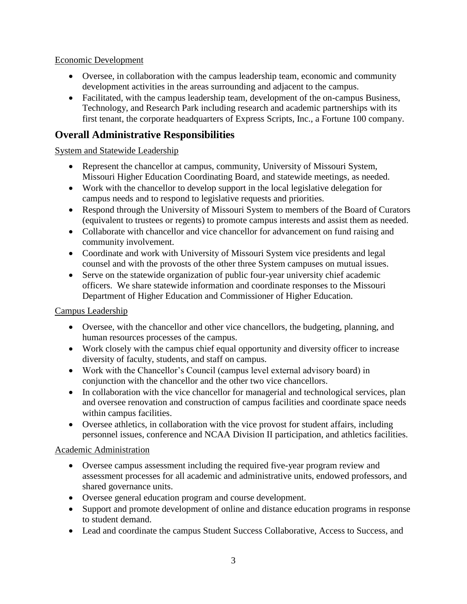#### Economic Development

- Oversee, in collaboration with the campus leadership team, economic and community development activities in the areas surrounding and adjacent to the campus.
- Facilitated, with the campus leadership team, development of the on-campus Business, Technology, and Research Park including research and academic partnerships with its first tenant, the corporate headquarters of Express Scripts, Inc., a Fortune 100 company.

# **Overall Administrative Responsibilities**

#### System and Statewide Leadership

- Represent the chancellor at campus, community, University of Missouri System, Missouri Higher Education Coordinating Board, and statewide meetings, as needed.
- Work with the chancellor to develop support in the local legislative delegation for campus needs and to respond to legislative requests and priorities.
- Respond through the University of Missouri System to members of the Board of Curators (equivalent to trustees or regents) to promote campus interests and assist them as needed.
- Collaborate with chancellor and vice chancellor for advancement on fund raising and community involvement.
- Coordinate and work with University of Missouri System vice presidents and legal counsel and with the provosts of the other three System campuses on mutual issues.
- Serve on the statewide organization of public four-year university chief academic officers. We share statewide information and coordinate responses to the Missouri Department of Higher Education and Commissioner of Higher Education.

### Campus Leadership

- Oversee, with the chancellor and other vice chancellors, the budgeting, planning, and human resources processes of the campus.
- Work closely with the campus chief equal opportunity and diversity officer to increase diversity of faculty, students, and staff on campus.
- Work with the Chancellor's Council (campus level external advisory board) in conjunction with the chancellor and the other two vice chancellors.
- In collaboration with the vice chancellor for managerial and technological services, plan and oversee renovation and construction of campus facilities and coordinate space needs within campus facilities.
- Oversee athletics, in collaboration with the vice provost for student affairs, including personnel issues, conference and NCAA Division II participation, and athletics facilities.

#### Academic Administration

- Oversee campus assessment including the required five-year program review and assessment processes for all academic and administrative units, endowed professors, and shared governance units.
- Oversee general education program and course development.
- Support and promote development of online and distance education programs in response to student demand.
- Lead and coordinate the campus Student Success Collaborative, Access to Success, and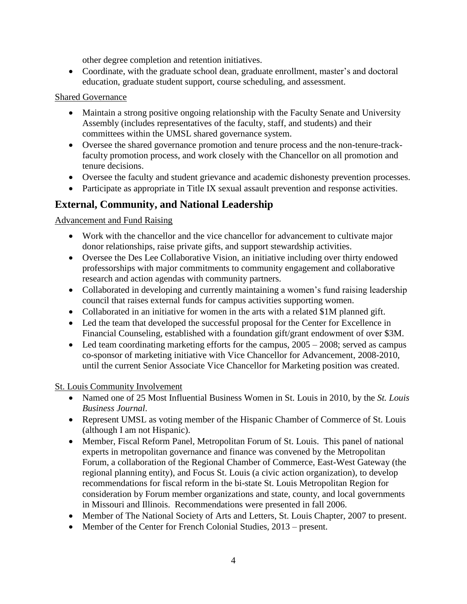other degree completion and retention initiatives.

 Coordinate, with the graduate school dean, graduate enrollment, master's and doctoral education, graduate student support, course scheduling, and assessment.

#### Shared Governance

- Maintain a strong positive ongoing relationship with the Faculty Senate and University Assembly (includes representatives of the faculty, staff, and students) and their committees within the UMSL shared governance system.
- Oversee the shared governance promotion and tenure process and the non-tenure-trackfaculty promotion process, and work closely with the Chancellor on all promotion and tenure decisions.
- Oversee the faculty and student grievance and academic dishonesty prevention processes.
- Participate as appropriate in Title IX sexual assault prevention and response activities.

# **External, Community, and National Leadership**

Advancement and Fund Raising

- Work with the chancellor and the vice chancellor for advancement to cultivate major donor relationships, raise private gifts, and support stewardship activities.
- Oversee the Des Lee Collaborative Vision, an initiative including over thirty endowed professorships with major commitments to community engagement and collaborative research and action agendas with community partners.
- Collaborated in developing and currently maintaining a women's fund raising leadership council that raises external funds for campus activities supporting women.
- Collaborated in an initiative for women in the arts with a related \$1M planned gift.
- Led the team that developed the successful proposal for the Center for Excellence in Financial Counseling, established with a foundation gift/grant endowment of over \$3M.
- Led team coordinating marketing efforts for the campus,  $2005 2008$ ; served as campus co-sponsor of marketing initiative with Vice Chancellor for Advancement, 2008-2010, until the current Senior Associate Vice Chancellor for Marketing position was created.

#### St. Louis Community Involvement

- Named one of 25 Most Influential Business Women in St. Louis in 2010, by the *St. Louis Business Journal*.
- Represent UMSL as voting member of the Hispanic Chamber of Commerce of St. Louis (although I am not Hispanic).
- Member, Fiscal Reform Panel, Metropolitan Forum of St. Louis. This panel of national experts in metropolitan governance and finance was convened by the Metropolitan Forum, a collaboration of the Regional Chamber of Commerce, East-West Gateway (the regional planning entity), and Focus St. Louis (a civic action organization), to develop recommendations for fiscal reform in the bi-state St. Louis Metropolitan Region for consideration by Forum member organizations and state, county, and local governments in Missouri and Illinois. Recommendations were presented in fall 2006.
- Member of The National Society of Arts and Letters, St. Louis Chapter, 2007 to present.
- Member of the Center for French Colonial Studies, 2013 present.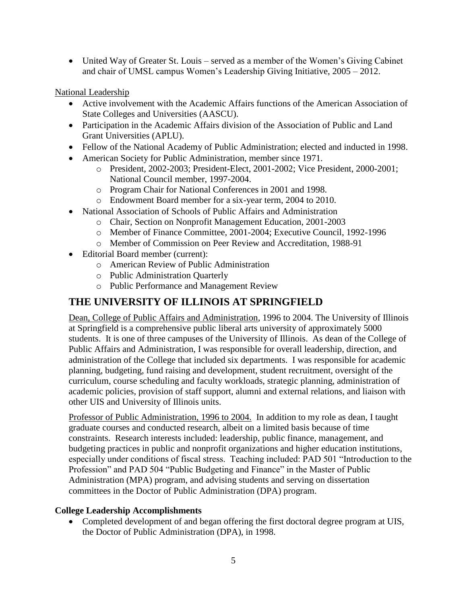• United Way of Greater St. Louis – served as a member of the Women's Giving Cabinet and chair of UMSL campus Women's Leadership Giving Initiative, 2005 – 2012.

National Leadership

- Active involvement with the Academic Affairs functions of the American Association of State Colleges and Universities (AASCU).
- Participation in the Academic Affairs division of the Association of Public and Land Grant Universities (APLU).
- Fellow of the National Academy of Public Administration; elected and inducted in 1998.
- American Society for Public Administration, member since 1971.
	- o President, 2002-2003; President-Elect, 2001-2002; Vice President, 2000-2001; National Council member, 1997-2004.
	- o Program Chair for National Conferences in 2001 and 1998.
	- o Endowment Board member for a six-year term, 2004 to 2010.
- National Association of Schools of Public Affairs and Administration
	- o Chair, Section on Nonprofit Management Education, 2001-2003
	- o Member of Finance Committee, 2001-2004; Executive Council, 1992-1996
	- o Member of Commission on Peer Review and Accreditation, 1988-91
- Editorial Board member (current):
	- o American Review of Public Administration
	- o Public Administration Quarterly
	- o Public Performance and Management Review

# **THE UNIVERSITY OF ILLINOIS AT SPRINGFIELD**

Dean, College of Public Affairs and Administration, 1996 to 2004. The University of Illinois at Springfield is a comprehensive public liberal arts university of approximately 5000 students. It is one of three campuses of the University of Illinois. As dean of the College of Public Affairs and Administration, I was responsible for overall leadership, direction, and administration of the College that included six departments. I was responsible for academic planning, budgeting, fund raising and development, student recruitment, oversight of the curriculum, course scheduling and faculty workloads, strategic planning, administration of academic policies, provision of staff support, alumni and external relations, and liaison with other UIS and University of Illinois units.

Professor of Public Administration, 1996 to 2004. In addition to my role as dean, I taught graduate courses and conducted research, albeit on a limited basis because of time constraints. Research interests included: leadership, public finance, management, and budgeting practices in public and nonprofit organizations and higher education institutions, especially under conditions of fiscal stress. Teaching included: PAD 501 "Introduction to the Profession" and PAD 504 "Public Budgeting and Finance" in the Master of Public Administration (MPA) program, and advising students and serving on dissertation committees in the Doctor of Public Administration (DPA) program.

#### **College Leadership Accomplishments**

• Completed development of and began offering the first doctoral degree program at UIS, the Doctor of Public Administration (DPA), in 1998.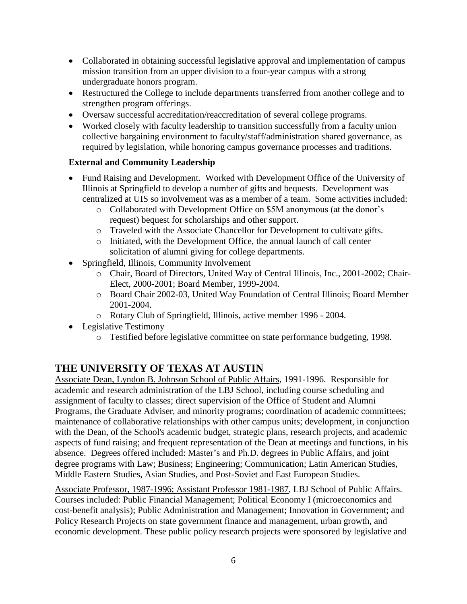- Collaborated in obtaining successful legislative approval and implementation of campus mission transition from an upper division to a four-year campus with a strong undergraduate honors program.
- Restructured the College to include departments transferred from another college and to strengthen program offerings.
- Oversaw successful accreditation/reaccreditation of several college programs.
- Worked closely with faculty leadership to transition successfully from a faculty union collective bargaining environment to faculty/staff/administration shared governance, as required by legislation, while honoring campus governance processes and traditions.

### **External and Community Leadership**

- Fund Raising and Development. Worked with Development Office of the University of Illinois at Springfield to develop a number of gifts and bequests. Development was centralized at UIS so involvement was as a member of a team. Some activities included:
	- o Collaborated with Development Office on \$5M anonymous (at the donor's request) bequest for scholarships and other support.
	- o Traveled with the Associate Chancellor for Development to cultivate gifts.
	- o Initiated, with the Development Office, the annual launch of call center solicitation of alumni giving for college departments.
- Springfield, Illinois, Community Involvement
	- o Chair, Board of Directors, United Way of Central Illinois, Inc., 2001-2002; Chair-Elect, 2000-2001; Board Member, 1999-2004.
	- o Board Chair 2002-03, United Way Foundation of Central Illinois; Board Member 2001-2004.
	- o Rotary Club of Springfield, Illinois, active member 1996 2004.
- Legislative Testimony
	- o Testified before legislative committee on state performance budgeting, 1998.

## **THE UNIVERSITY OF TEXAS AT AUSTIN**

Associate Dean, Lyndon B. Johnson School of Public Affairs, 1991-1996. Responsible for academic and research administration of the LBJ School, including course scheduling and assignment of faculty to classes; direct supervision of the Office of Student and Alumni Programs, the Graduate Adviser, and minority programs; coordination of academic committees; maintenance of collaborative relationships with other campus units; development, in conjunction with the Dean, of the School's academic budget, strategic plans, research projects, and academic aspects of fund raising; and frequent representation of the Dean at meetings and functions, in his absence. Degrees offered included: Master's and Ph.D. degrees in Public Affairs, and joint degree programs with Law; Business; Engineering; Communication; Latin American Studies, Middle Eastern Studies, Asian Studies, and Post-Soviet and East European Studies.

Associate Professor, 1987-1996; Assistant Professor 1981-1987, LBJ School of Public Affairs. Courses included: Public Financial Management; Political Economy I (microeconomics and cost-benefit analysis); Public Administration and Management; Innovation in Government; and Policy Research Projects on state government finance and management, urban growth, and economic development. These public policy research projects were sponsored by legislative and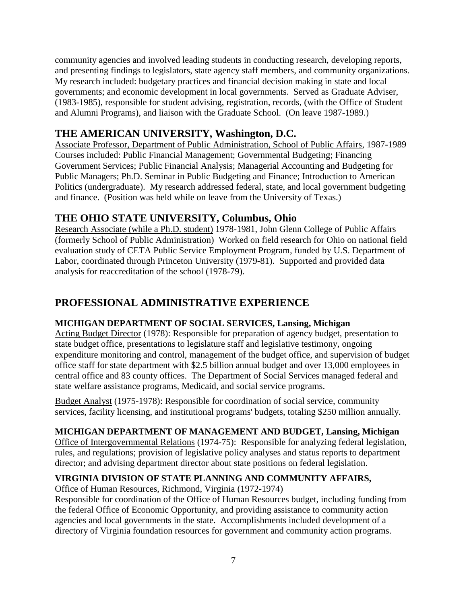community agencies and involved leading students in conducting research, developing reports, and presenting findings to legislators, state agency staff members, and community organizations. My research included: budgetary practices and financial decision making in state and local governments; and economic development in local governments. Served as Graduate Adviser, (1983-1985), responsible for student advising, registration, records, (with the Office of Student and Alumni Programs), and liaison with the Graduate School. (On leave 1987-1989.)

# **THE AMERICAN UNIVERSITY, Washington, D.C.**

Associate Professor, Department of Public Administration, School of Public Affairs, 1987-1989 Courses included: Public Financial Management; Governmental Budgeting; Financing Government Services; Public Financial Analysis; Managerial Accounting and Budgeting for Public Managers; Ph.D. Seminar in Public Budgeting and Finance; Introduction to American Politics (undergraduate). My research addressed federal, state, and local government budgeting and finance. (Position was held while on leave from the University of Texas.)

# **THE OHIO STATE UNIVERSITY, Columbus, Ohio**

Research Associate (while a Ph.D. student) 1978-1981, John Glenn College of Public Affairs (formerly School of Public Administration) Worked on field research for Ohio on national field evaluation study of CETA Public Service Employment Program, funded by U.S. Department of Labor, coordinated through Princeton University (1979-81). Supported and provided data analysis for reaccreditation of the school (1978-79).

# **PROFESSIONAL ADMINISTRATIVE EXPERIENCE**

### **MICHIGAN DEPARTMENT OF SOCIAL SERVICES, Lansing, Michigan**

Acting Budget Director (1978): Responsible for preparation of agency budget, presentation to state budget office, presentations to legislature staff and legislative testimony, ongoing expenditure monitoring and control, management of the budget office, and supervision of budget office staff for state department with \$2.5 billion annual budget and over 13,000 employees in central office and 83 county offices. The Department of Social Services managed federal and state welfare assistance programs, Medicaid, and social service programs.

Budget Analyst (1975-1978): Responsible for coordination of social service, community services, facility licensing, and institutional programs' budgets, totaling \$250 million annually.

#### **MICHIGAN DEPARTMENT OF MANAGEMENT AND BUDGET, Lansing, Michigan**

Office of Intergovernmental Relations (1974-75): Responsible for analyzing federal legislation, rules, and regulations; provision of legislative policy analyses and status reports to department director; and advising department director about state positions on federal legislation.

### **VIRGINIA DIVISION OF STATE PLANNING AND COMMUNITY AFFAIRS,**

Office of Human Resources, Richmond, Virginia (1972-1974)

Responsible for coordination of the Office of Human Resources budget, including funding from the federal Office of Economic Opportunity, and providing assistance to community action agencies and local governments in the state. Accomplishments included development of a directory of Virginia foundation resources for government and community action programs.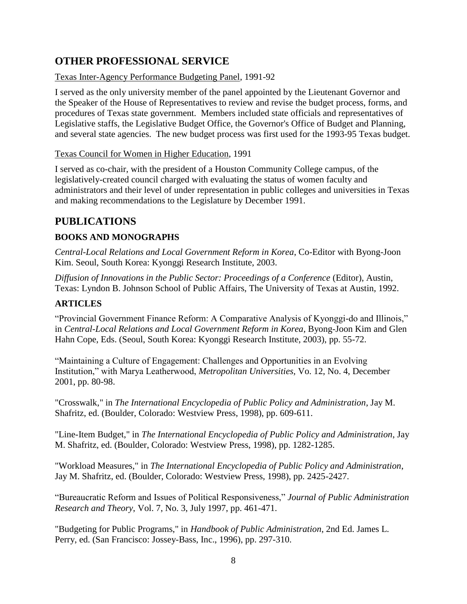# **OTHER PROFESSIONAL SERVICE**

### Texas Inter-Agency Performance Budgeting Panel, 1991-92

I served as the only university member of the panel appointed by the Lieutenant Governor and the Speaker of the House of Representatives to review and revise the budget process, forms, and procedures of Texas state government. Members included state officials and representatives of Legislative staffs, the Legislative Budget Office, the Governor's Office of Budget and Planning, and several state agencies. The new budget process was first used for the 1993-95 Texas budget.

### Texas Council for Women in Higher Education, 1991

I served as co-chair, with the president of a Houston Community College campus, of the legislatively-created council charged with evaluating the status of women faculty and administrators and their level of under representation in public colleges and universities in Texas and making recommendations to the Legislature by December 1991.

# **PUBLICATIONS**

### **BOOKS AND MONOGRAPHS**

*Central-Local Relations and Local Government Reform in Korea*, Co-Editor with Byong-Joon Kim. Seoul, South Korea: Kyonggi Research Institute, 2003.

*Diffusion of Innovations in the Public Sector: Proceedings of a Conference* (Editor), Austin, Texas: Lyndon B. Johnson School of Public Affairs, The University of Texas at Austin, 1992.

### **ARTICLES**

"Provincial Government Finance Reform: A Comparative Analysis of Kyonggi-do and Illinois," in *Central-Local Relations and Local Government Reform in Korea*, Byong-Joon Kim and Glen Hahn Cope, Eds. (Seoul, South Korea: Kyonggi Research Institute, 2003), pp. 55-72.

"Maintaining a Culture of Engagement: Challenges and Opportunities in an Evolving Institution," with Marya Leatherwood, *Metropolitan Universities,* Vo. 12, No. 4, December 2001, pp. 80-98.

"Crosswalk," in *The International Encyclopedia of Public Policy and Administration*, Jay M. Shafritz, ed. (Boulder, Colorado: Westview Press, 1998), pp. 609-611.

"Line-Item Budget," in *The International Encyclopedia of Public Policy and Administration*, Jay M. Shafritz, ed. (Boulder, Colorado: Westview Press, 1998), pp. 1282-1285.

"Workload Measures," in *The International Encyclopedia of Public Policy and Administration*, Jay M. Shafritz, ed. (Boulder, Colorado: Westview Press, 1998), pp. 2425-2427.

"Bureaucratic Reform and Issues of Political Responsiveness," *Journal of Public Administration Research and Theory*, Vol. 7, No. 3, July 1997, pp. 461-471.

"Budgeting for Public Programs," in *Handbook of Public Administration*, 2nd Ed. James L. Perry, ed. (San Francisco: Jossey-Bass, Inc., 1996), pp. 297-310.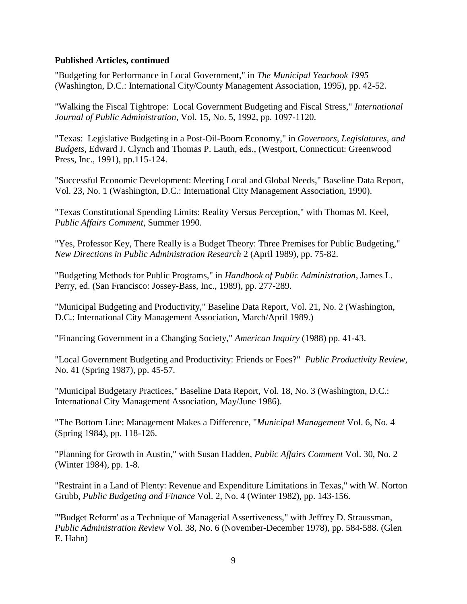#### **Published Articles, continued**

"Budgeting for Performance in Local Government," in *The Municipal Yearbook 1995* (Washington, D.C.: International City/County Management Association, 1995), pp. 42-52.

"Walking the Fiscal Tightrope: Local Government Budgeting and Fiscal Stress," *International Journal of Public Administration*, Vol. 15, No. 5, 1992, pp. 1097-1120.

"Texas: Legislative Budgeting in a Post-Oil-Boom Economy," in *Governors, Legislatures, and Budgets*, Edward J. Clynch and Thomas P. Lauth, eds., (Westport, Connecticut: Greenwood Press, Inc., 1991), pp.115-124.

"Successful Economic Development: Meeting Local and Global Needs," Baseline Data Report, Vol. 23, No. 1 (Washington, D.C.: International City Management Association, 1990).

"Texas Constitutional Spending Limits: Reality Versus Perception," with Thomas M. Keel, *Public Affairs Comment*, Summer 1990.

"Yes, Professor Key, There Really is a Budget Theory: Three Premises for Public Budgeting," *New Directions in Public Administration Research* 2 (April 1989), pp. 75-82.

"Budgeting Methods for Public Programs," in *Handbook of Public Administration*, James L. Perry, ed. (San Francisco: Jossey-Bass, Inc., 1989), pp. 277-289.

"Municipal Budgeting and Productivity," Baseline Data Report, Vol. 21, No. 2 (Washington, D.C.: International City Management Association, March/April 1989.)

"Financing Government in a Changing Society," *American Inquiry* (1988) pp. 41-43.

"Local Government Budgeting and Productivity: Friends or Foes?" *Public Productivity Review*, No. 41 (Spring 1987), pp. 45-57.

"Municipal Budgetary Practices," Baseline Data Report, Vol. 18, No. 3 (Washington, D.C.: International City Management Association, May/June 1986).

"The Bottom Line: Management Makes a Difference, "*Municipal Management* Vol. 6, No. 4 (Spring 1984), pp. 118-126.

"Planning for Growth in Austin," with Susan Hadden, *Public Affairs Comment* Vol. 30, No. 2 (Winter 1984), pp. 1-8.

"Restraint in a Land of Plenty: Revenue and Expenditure Limitations in Texas," with W. Norton Grubb, *Public Budgeting and Finance* Vol. 2, No. 4 (Winter 1982), pp. 143-156.

"'Budget Reform' as a Technique of Managerial Assertiveness," with Jeffrey D. Straussman, *Public Administration Review* Vol. 38, No. 6 (November-December 1978), pp. 584-588. (Glen E. Hahn)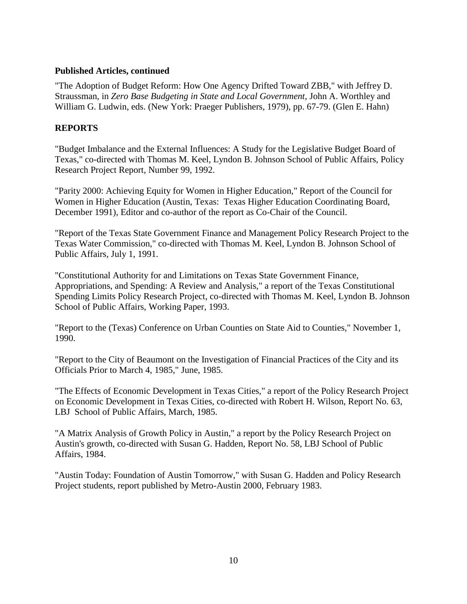#### **Published Articles, continued**

"The Adoption of Budget Reform: How One Agency Drifted Toward ZBB," with Jeffrey D. Straussman, in *Zero Base Budgeting in State and Local Government*, John A. Worthley and William G. Ludwin, eds. (New York: Praeger Publishers, 1979), pp. 67-79. (Glen E. Hahn)

#### **REPORTS**

"Budget Imbalance and the External Influences: A Study for the Legislative Budget Board of Texas," co-directed with Thomas M. Keel, Lyndon B. Johnson School of Public Affairs, Policy Research Project Report, Number 99, 1992.

"Parity 2000: Achieving Equity for Women in Higher Education," Report of the Council for Women in Higher Education (Austin, Texas: Texas Higher Education Coordinating Board, December 1991), Editor and co-author of the report as Co-Chair of the Council.

"Report of the Texas State Government Finance and Management Policy Research Project to the Texas Water Commission," co-directed with Thomas M. Keel, Lyndon B. Johnson School of Public Affairs, July 1, 1991.

"Constitutional Authority for and Limitations on Texas State Government Finance, Appropriations, and Spending: A Review and Analysis," a report of the Texas Constitutional Spending Limits Policy Research Project, co-directed with Thomas M. Keel, Lyndon B. Johnson School of Public Affairs, Working Paper, 1993.

"Report to the (Texas) Conference on Urban Counties on State Aid to Counties," November 1, 1990.

"Report to the City of Beaumont on the Investigation of Financial Practices of the City and its Officials Prior to March 4, 1985," June, 1985.

"The Effects of Economic Development in Texas Cities," a report of the Policy Research Project on Economic Development in Texas Cities, co-directed with Robert H. Wilson, Report No. 63, LBJ School of Public Affairs, March, 1985.

"A Matrix Analysis of Growth Policy in Austin," a report by the Policy Research Project on Austin's growth, co-directed with Susan G. Hadden, Report No. 58, LBJ School of Public Affairs, 1984.

"Austin Today: Foundation of Austin Tomorrow," with Susan G. Hadden and Policy Research Project students, report published by Metro-Austin 2000, February 1983.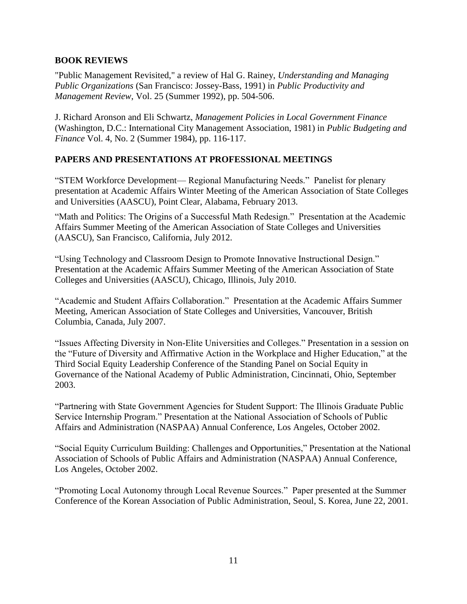#### **BOOK REVIEWS**

"Public Management Revisited," a review of Hal G. Rainey, *Understanding and Managing Public Organizations* (San Francisco: Jossey-Bass, 1991) in *Public Productivity and Management Review*, Vol. 25 (Summer 1992), pp. 504-506.

J. Richard Aronson and Eli Schwartz, *Management Policies in Local Government Finance* (Washington, D.C.: International City Management Association, 1981) in *Public Budgeting and Finance* Vol. 4, No. 2 (Summer 1984), pp. 116-117.

### **PAPERS AND PRESENTATIONS AT PROFESSIONAL MEETINGS**

"STEM Workforce Development— Regional Manufacturing Needs." Panelist for plenary presentation at Academic Affairs Winter Meeting of the American Association of State Colleges and Universities (AASCU), Point Clear, Alabama, February 2013.

"Math and Politics: The Origins of a Successful Math Redesign." Presentation at the Academic Affairs Summer Meeting of the American Association of State Colleges and Universities (AASCU), San Francisco, California, July 2012.

"Using Technology and Classroom Design to Promote Innovative Instructional Design." Presentation at the Academic Affairs Summer Meeting of the American Association of State Colleges and Universities (AASCU), Chicago, Illinois, July 2010.

"Academic and Student Affairs Collaboration." Presentation at the Academic Affairs Summer Meeting, American Association of State Colleges and Universities, Vancouver, British Columbia, Canada, July 2007.

"Issues Affecting Diversity in Non-Elite Universities and Colleges." Presentation in a session on the "Future of Diversity and Affirmative Action in the Workplace and Higher Education," at the Third Social Equity Leadership Conference of the Standing Panel on Social Equity in Governance of the National Academy of Public Administration, Cincinnati, Ohio, September 2003.

"Partnering with State Government Agencies for Student Support: The Illinois Graduate Public Service Internship Program." Presentation at the National Association of Schools of Public Affairs and Administration (NASPAA) Annual Conference, Los Angeles, October 2002.

"Social Equity Curriculum Building: Challenges and Opportunities," Presentation at the National Association of Schools of Public Affairs and Administration (NASPAA) Annual Conference, Los Angeles, October 2002.

"Promoting Local Autonomy through Local Revenue Sources." Paper presented at the Summer Conference of the Korean Association of Public Administration, Seoul, S. Korea, June 22, 2001.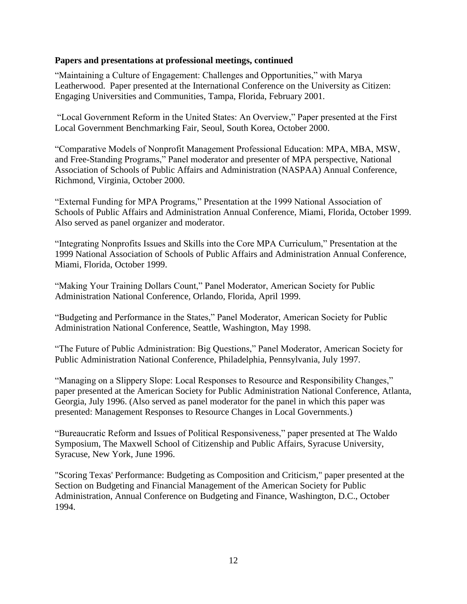#### **Papers and presentations at professional meetings, continued**

"Maintaining a Culture of Engagement: Challenges and Opportunities," with Marya Leatherwood. Paper presented at the International Conference on the University as Citizen: Engaging Universities and Communities, Tampa, Florida, February 2001.

"Local Government Reform in the United States: An Overview," Paper presented at the First Local Government Benchmarking Fair, Seoul, South Korea, October 2000.

"Comparative Models of Nonprofit Management Professional Education: MPA, MBA, MSW, and Free-Standing Programs," Panel moderator and presenter of MPA perspective, National Association of Schools of Public Affairs and Administration (NASPAA) Annual Conference, Richmond, Virginia, October 2000.

"External Funding for MPA Programs," Presentation at the 1999 National Association of Schools of Public Affairs and Administration Annual Conference, Miami, Florida, October 1999. Also served as panel organizer and moderator.

"Integrating Nonprofits Issues and Skills into the Core MPA Curriculum," Presentation at the 1999 National Association of Schools of Public Affairs and Administration Annual Conference, Miami, Florida, October 1999.

"Making Your Training Dollars Count," Panel Moderator, American Society for Public Administration National Conference, Orlando, Florida, April 1999.

"Budgeting and Performance in the States," Panel Moderator, American Society for Public Administration National Conference, Seattle, Washington, May 1998.

"The Future of Public Administration: Big Questions," Panel Moderator, American Society for Public Administration National Conference, Philadelphia, Pennsylvania, July 1997.

"Managing on a Slippery Slope: Local Responses to Resource and Responsibility Changes," paper presented at the American Society for Public Administration National Conference, Atlanta, Georgia, July 1996. (Also served as panel moderator for the panel in which this paper was presented: Management Responses to Resource Changes in Local Governments.)

"Bureaucratic Reform and Issues of Political Responsiveness," paper presented at The Waldo Symposium, The Maxwell School of Citizenship and Public Affairs, Syracuse University, Syracuse, New York, June 1996.

"Scoring Texas' Performance: Budgeting as Composition and Criticism," paper presented at the Section on Budgeting and Financial Management of the American Society for Public Administration, Annual Conference on Budgeting and Finance, Washington, D.C., October 1994.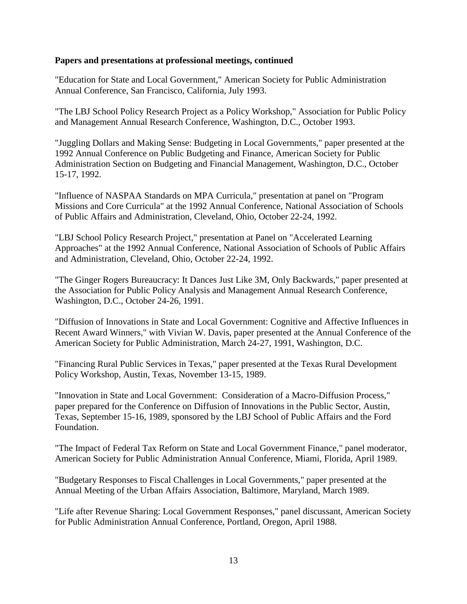#### **Papers and presentations at professional meetings, continued**

"Education for State and Local Government," American Society for Public Administration Annual Conference, San Francisco, California, July 1993.

"The LBJ School Policy Research Project as a Policy Workshop," Association for Public Policy and Management Annual Research Conference, Washington, D.C., October 1993.

"Juggling Dollars and Making Sense: Budgeting in Local Governments," paper presented at the 1992 Annual Conference on Public Budgeting and Finance, American Society for Public Administration Section on Budgeting and Financial Management, Washington, D.C., October 15-17, 1992.

"Influence of NASPAA Standards on MPA Curricula," presentation at panel on "Program Missions and Core Curricula" at the 1992 Annual Conference, National Association of Schools of Public Affairs and Administration, Cleveland, Ohio, October 22-24, 1992.

"LBJ School Policy Research Project," presentation at Panel on "Accelerated Learning Approaches" at the 1992 Annual Conference, National Association of Schools of Public Affairs and Administration, Cleveland, Ohio, October 22-24, 1992.

"The Ginger Rogers Bureaucracy: It Dances Just Like 3M, Only Backwards," paper presented at the Association for Public Policy Analysis and Management Annual Research Conference, Washington, D.C., October 24-26, 1991.

"Diffusion of Innovations in State and Local Government: Cognitive and Affective Influences in Recent Award Winners," with Vivian W. Davis, paper presented at the Annual Conference of the American Society for Public Administration, March 24-27, 1991, Washington, D.C.

"Financing Rural Public Services in Texas," paper presented at the Texas Rural Development Policy Workshop, Austin, Texas, November 13-15, 1989.

"Innovation in State and Local Government: Consideration of a Macro-Diffusion Process," paper prepared for the Conference on Diffusion of Innovations in the Public Sector, Austin, Texas, September 15-16, 1989, sponsored by the LBJ School of Public Affairs and the Ford Foundation.

"The Impact of Federal Tax Reform on State and Local Government Finance," panel moderator, American Society for Public Administration Annual Conference, Miami, Florida, April 1989.

"Budgetary Responses to Fiscal Challenges in Local Governments," paper presented at the Annual Meeting of the Urban Affairs Association, Baltimore, Maryland, March 1989.

"Life after Revenue Sharing: Local Government Responses," panel discussant, American Society for Public Administration Annual Conference, Portland, Oregon, April 1988.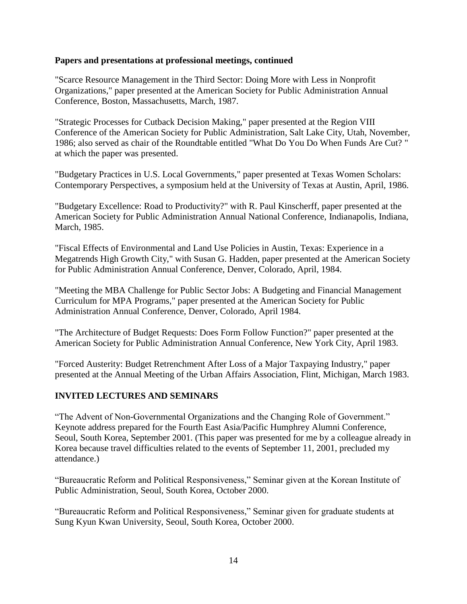#### **Papers and presentations at professional meetings, continued**

"Scarce Resource Management in the Third Sector: Doing More with Less in Nonprofit Organizations," paper presented at the American Society for Public Administration Annual Conference, Boston, Massachusetts, March, 1987.

"Strategic Processes for Cutback Decision Making," paper presented at the Region VIII Conference of the American Society for Public Administration, Salt Lake City, Utah, November, 1986; also served as chair of the Roundtable entitled "What Do You Do When Funds Are Cut? " at which the paper was presented.

"Budgetary Practices in U.S. Local Governments," paper presented at Texas Women Scholars: Contemporary Perspectives, a symposium held at the University of Texas at Austin, April, 1986.

"Budgetary Excellence: Road to Productivity?" with R. Paul Kinscherff, paper presented at the American Society for Public Administration Annual National Conference, Indianapolis, Indiana, March, 1985.

"Fiscal Effects of Environmental and Land Use Policies in Austin, Texas: Experience in a Megatrends High Growth City," with Susan G. Hadden, paper presented at the American Society for Public Administration Annual Conference, Denver, Colorado, April, 1984.

"Meeting the MBA Challenge for Public Sector Jobs: A Budgeting and Financial Management Curriculum for MPA Programs," paper presented at the American Society for Public Administration Annual Conference, Denver, Colorado, April 1984.

"The Architecture of Budget Requests: Does Form Follow Function?" paper presented at the American Society for Public Administration Annual Conference, New York City, April 1983.

"Forced Austerity: Budget Retrenchment After Loss of a Major Taxpaying Industry," paper presented at the Annual Meeting of the Urban Affairs Association, Flint, Michigan, March 1983.

#### **INVITED LECTURES AND SEMINARS**

"The Advent of Non-Governmental Organizations and the Changing Role of Government." Keynote address prepared for the Fourth East Asia/Pacific Humphrey Alumni Conference, Seoul, South Korea, September 2001. (This paper was presented for me by a colleague already in Korea because travel difficulties related to the events of September 11, 2001, precluded my attendance.)

"Bureaucratic Reform and Political Responsiveness," Seminar given at the Korean Institute of Public Administration, Seoul, South Korea, October 2000.

"Bureaucratic Reform and Political Responsiveness," Seminar given for graduate students at Sung Kyun Kwan University, Seoul, South Korea, October 2000.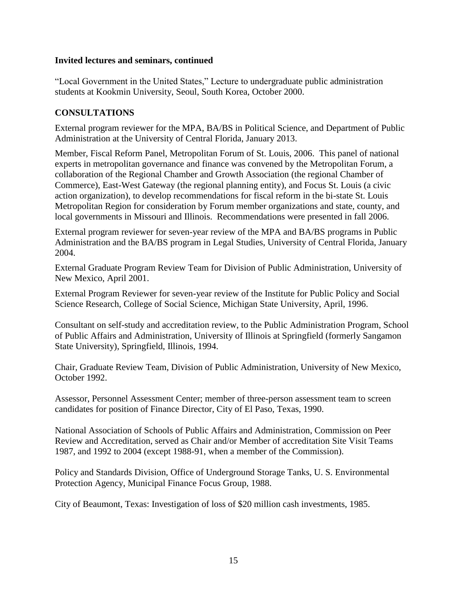#### **Invited lectures and seminars, continued**

"Local Government in the United States," Lecture to undergraduate public administration students at Kookmin University, Seoul, South Korea, October 2000.

#### **CONSULTATIONS**

External program reviewer for the MPA, BA/BS in Political Science, and Department of Public Administration at the University of Central Florida, January 2013.

Member, Fiscal Reform Panel, Metropolitan Forum of St. Louis, 2006. This panel of national experts in metropolitan governance and finance was convened by the Metropolitan Forum, a collaboration of the Regional Chamber and Growth Association (the regional Chamber of Commerce), East-West Gateway (the regional planning entity), and Focus St. Louis (a civic action organization), to develop recommendations for fiscal reform in the bi-state St. Louis Metropolitan Region for consideration by Forum member organizations and state, county, and local governments in Missouri and Illinois. Recommendations were presented in fall 2006.

External program reviewer for seven-year review of the MPA and BA/BS programs in Public Administration and the BA/BS program in Legal Studies, University of Central Florida, January 2004.

External Graduate Program Review Team for Division of Public Administration, University of New Mexico, April 2001.

External Program Reviewer for seven-year review of the Institute for Public Policy and Social Science Research, College of Social Science, Michigan State University, April, 1996.

Consultant on self-study and accreditation review, to the Public Administration Program, School of Public Affairs and Administration, University of Illinois at Springfield (formerly Sangamon State University), Springfield, Illinois, 1994.

Chair, Graduate Review Team, Division of Public Administration, University of New Mexico, October 1992.

Assessor, Personnel Assessment Center; member of three-person assessment team to screen candidates for position of Finance Director, City of El Paso, Texas, 1990.

National Association of Schools of Public Affairs and Administration, Commission on Peer Review and Accreditation, served as Chair and/or Member of accreditation Site Visit Teams 1987, and 1992 to 2004 (except 1988-91, when a member of the Commission).

Policy and Standards Division, Office of Underground Storage Tanks, U. S. Environmental Protection Agency, Municipal Finance Focus Group, 1988.

City of Beaumont, Texas: Investigation of loss of \$20 million cash investments, 1985.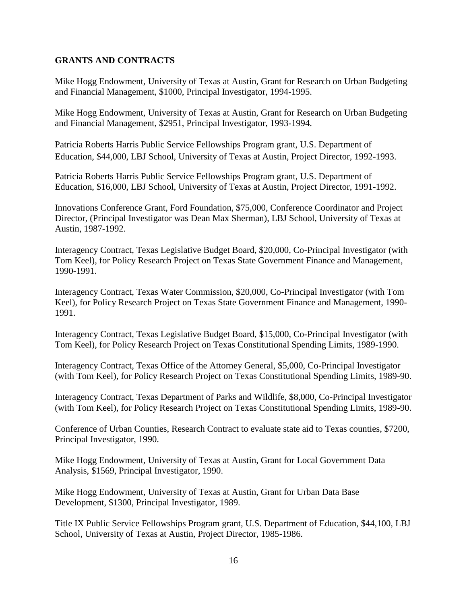#### **GRANTS AND CONTRACTS**

Mike Hogg Endowment, University of Texas at Austin, Grant for Research on Urban Budgeting and Financial Management, \$1000, Principal Investigator, 1994-1995.

Mike Hogg Endowment, University of Texas at Austin, Grant for Research on Urban Budgeting and Financial Management, \$2951, Principal Investigator, 1993-1994.

Patricia Roberts Harris Public Service Fellowships Program grant, U.S. Department of Education, \$44,000, LBJ School, University of Texas at Austin, Project Director, 1992-1993.

Patricia Roberts Harris Public Service Fellowships Program grant, U.S. Department of Education, \$16,000, LBJ School, University of Texas at Austin, Project Director, 1991-1992.

Innovations Conference Grant, Ford Foundation, \$75,000, Conference Coordinator and Project Director, (Principal Investigator was Dean Max Sherman), LBJ School, University of Texas at Austin, 1987-1992.

Interagency Contract, Texas Legislative Budget Board, \$20,000, Co-Principal Investigator (with Tom Keel), for Policy Research Project on Texas State Government Finance and Management, 1990-1991.

Interagency Contract, Texas Water Commission, \$20,000, Co-Principal Investigator (with Tom Keel), for Policy Research Project on Texas State Government Finance and Management, 1990- 1991.

Interagency Contract, Texas Legislative Budget Board, \$15,000, Co-Principal Investigator (with Tom Keel), for Policy Research Project on Texas Constitutional Spending Limits, 1989-1990.

Interagency Contract, Texas Office of the Attorney General, \$5,000, Co-Principal Investigator (with Tom Keel), for Policy Research Project on Texas Constitutional Spending Limits, 1989-90.

Interagency Contract, Texas Department of Parks and Wildlife, \$8,000, Co-Principal Investigator (with Tom Keel), for Policy Research Project on Texas Constitutional Spending Limits, 1989-90.

Conference of Urban Counties, Research Contract to evaluate state aid to Texas counties, \$7200, Principal Investigator, 1990.

Mike Hogg Endowment, University of Texas at Austin, Grant for Local Government Data Analysis, \$1569, Principal Investigator, 1990.

Mike Hogg Endowment, University of Texas at Austin, Grant for Urban Data Base Development, \$1300, Principal Investigator, 1989.

Title IX Public Service Fellowships Program grant, U.S. Department of Education, \$44,100, LBJ School, University of Texas at Austin, Project Director, 1985-1986.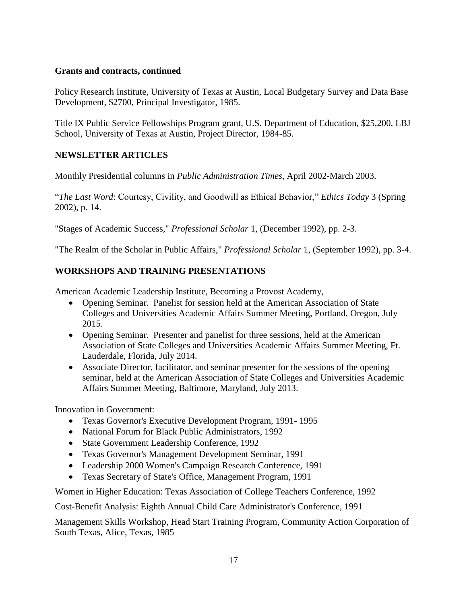#### **Grants and contracts, continued**

Policy Research Institute, University of Texas at Austin, Local Budgetary Survey and Data Base Development, \$2700, Principal Investigator, 1985.

Title IX Public Service Fellowships Program grant, U.S. Department of Education, \$25,200, LBJ School, University of Texas at Austin, Project Director, 1984-85.

#### **NEWSLETTER ARTICLES**

Monthly Presidential columns in *Public Administration Times*, April 2002-March 2003.

"*The Last Word*: Courtesy, Civility, and Goodwill as Ethical Behavior," *Ethics Today* 3 (Spring 2002), p. 14.

"Stages of Academic Success," *Professional Scholar* 1, (December 1992), pp. 2-3.

"The Realm of the Scholar in Public Affairs," *Professional Scholar* 1, (September 1992), pp. 3-4.

### **WORKSHOPS AND TRAINING PRESENTATIONS**

American Academic Leadership Institute, Becoming a Provost Academy,

- Opening Seminar. Panelist for session held at the American Association of State Colleges and Universities Academic Affairs Summer Meeting, Portland, Oregon, July 2015.
- Opening Seminar. Presenter and panelist for three sessions, held at the American Association of State Colleges and Universities Academic Affairs Summer Meeting, Ft. Lauderdale, Florida, July 2014.
- Associate Director, facilitator, and seminar presenter for the sessions of the opening seminar, held at the American Association of State Colleges and Universities Academic Affairs Summer Meeting, Baltimore, Maryland, July 2013.

Innovation in Government:

- Texas Governor's Executive Development Program, 1991- 1995
- National Forum for Black Public Administrators, 1992
- State Government Leadership Conference, 1992
- Texas Governor's Management Development Seminar, 1991
- Leadership 2000 Women's Campaign Research Conference, 1991
- Texas Secretary of State's Office, Management Program, 1991

Women in Higher Education: Texas Association of College Teachers Conference, 1992

Cost-Benefit Analysis: Eighth Annual Child Care Administrator's Conference, 1991

Management Skills Workshop, Head Start Training Program, Community Action Corporation of South Texas, Alice, Texas, 1985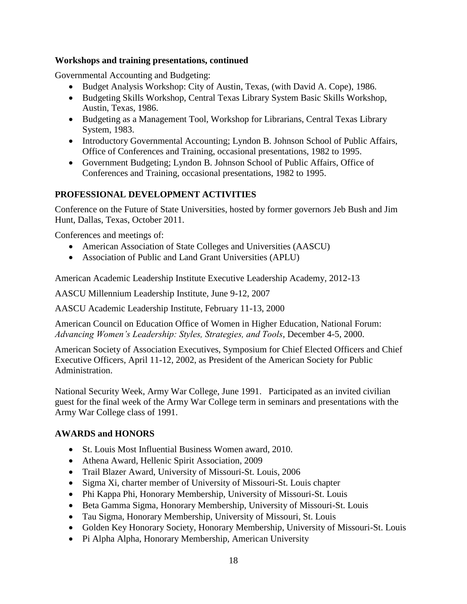#### **Workshops and training presentations, continued**

Governmental Accounting and Budgeting:

- Budget Analysis Workshop: City of Austin, Texas, (with David A. Cope), 1986.
- Budgeting Skills Workshop, Central Texas Library System Basic Skills Workshop, Austin, Texas, 1986.
- Budgeting as a Management Tool, Workshop for Librarians, Central Texas Library System, 1983.
- Introductory Governmental Accounting; Lyndon B. Johnson School of Public Affairs, Office of Conferences and Training, occasional presentations, 1982 to 1995.
- Government Budgeting; Lyndon B. Johnson School of Public Affairs, Office of Conferences and Training, occasional presentations, 1982 to 1995.

#### **PROFESSIONAL DEVELOPMENT ACTIVITIES**

Conference on the Future of State Universities, hosted by former governors Jeb Bush and Jim Hunt, Dallas, Texas, October 2011.

Conferences and meetings of:

- American Association of State Colleges and Universities (AASCU)
- Association of Public and Land Grant Universities (APLU)

American Academic Leadership Institute Executive Leadership Academy, 2012-13

AASCU Millennium Leadership Institute, June 9-12, 2007

AASCU Academic Leadership Institute, February 11-13, 2000

American Council on Education Office of Women in Higher Education, National Forum: *Advancing Women's Leadership: Styles, Strategies, and Tools*, December 4-5, 2000.

American Society of Association Executives, Symposium for Chief Elected Officers and Chief Executive Officers, April 11-12, 2002, as President of the American Society for Public Administration.

National Security Week, Army War College, June 1991. Participated as an invited civilian guest for the final week of the Army War College term in seminars and presentations with the Army War College class of 1991.

#### **AWARDS and HONORS**

- St. Louis Most Influential Business Women award, 2010.
- Athena Award, Hellenic Spirit Association, 2009
- Trail Blazer Award, University of Missouri-St. Louis, 2006
- Sigma Xi, charter member of University of Missouri-St. Louis chapter
- Phi Kappa Phi, Honorary Membership, University of Missouri-St. Louis
- Beta Gamma Sigma, Honorary Membership, University of Missouri-St. Louis
- Tau Sigma, Honorary Membership, University of Missouri, St. Louis
- Golden Key Honorary Society, Honorary Membership, University of Missouri-St. Louis
- Pi Alpha Alpha, Honorary Membership, American University